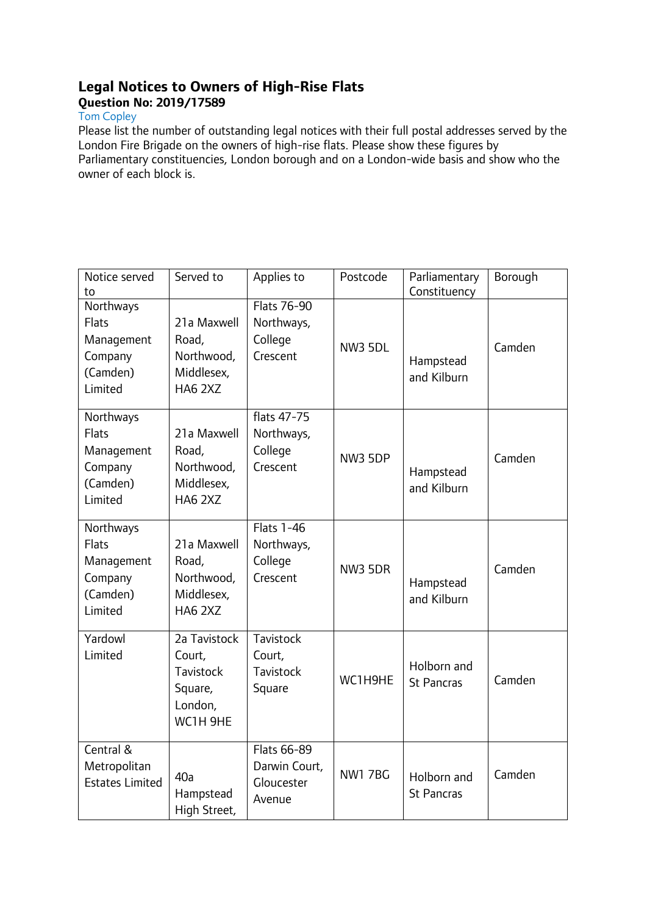## **Legal Notices to Owners of High-Rise Flats Question No: 2019/17589**

## Tom Copley

Please list the number of outstanding legal notices with their full postal addresses served by the London Fire Brigade on the owners of high-rise flats. Please show these figures by Parliamentary constituencies, London borough and on a London-wide basis and show who the owner of each block is.

| Notice served<br>to                                                       | Served to                                                                    | Applies to                                             | Postcode       | Parliamentary<br>Constituency    | Borough |
|---------------------------------------------------------------------------|------------------------------------------------------------------------------|--------------------------------------------------------|----------------|----------------------------------|---------|
| Northways<br>Flats<br>Management<br>Company<br>(Camden)<br>Limited        | 21a Maxwell<br>Road,<br>Northwood,<br>Middlesex,<br>HA6 2XZ                  | Flats 76-90<br>Northways,<br>College<br>Crescent       | <b>NW3 5DL</b> | Hampstead<br>and Kilburn         | Camden  |
| Northways<br><b>Flats</b><br>Management<br>Company<br>(Camden)<br>Limited | 21a Maxwell<br>Road,<br>Northwood,<br>Middlesex,<br>HA6 2XZ                  | flats 47-75<br>Northways,<br>College<br>Crescent       | <b>NW3 5DP</b> | Hampstead<br>and Kilburn         | Camden  |
| Northways<br>Flats<br>Management<br>Company<br>(Camden)<br>Limited        | 21a Maxwell<br>Road,<br>Northwood,<br>Middlesex,<br><b>HA6 2XZ</b>           | <b>Flats 1-46</b><br>Northways,<br>College<br>Crescent | <b>NW3 5DR</b> | Hampstead<br>and Kilburn         | Camden  |
| Yardowl<br>Limited                                                        | 2a Tavistock<br>Court,<br><b>Tavistock</b><br>Square,<br>London,<br>WC1H 9HE | Tavistock<br>Court,<br>Tavistock<br>Square             | WC1H9HE        | Holborn and<br><b>St Pancras</b> | Camden  |
| Central &<br>Metropolitan<br><b>Estates Limited</b>                       | 40a<br>Hampstead<br>High Street,                                             | Flats 66-89<br>Darwin Court,<br>Gloucester<br>Avenue   | <b>NW1 7BG</b> | Holborn and<br><b>St Pancras</b> | Camden  |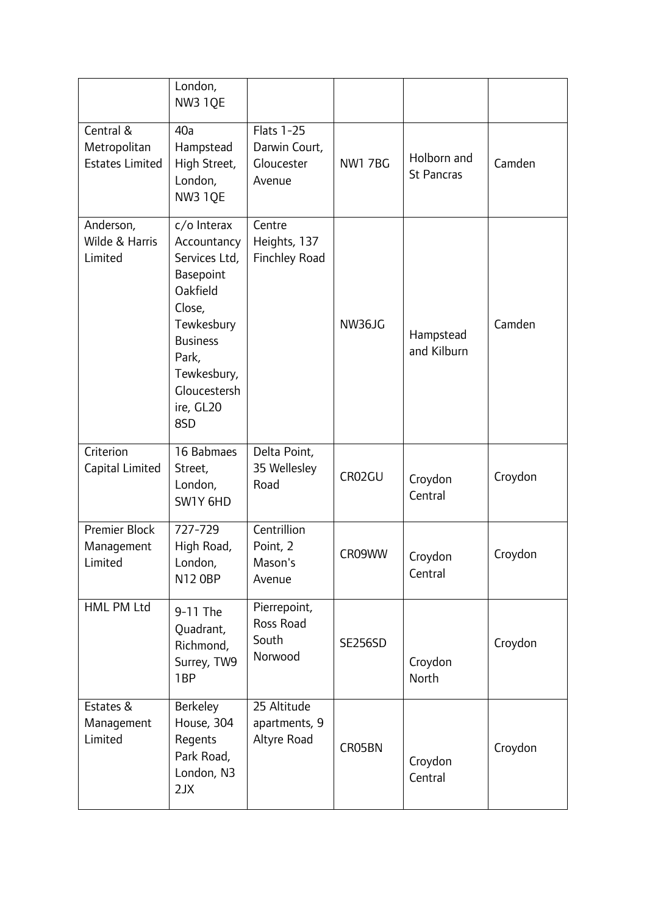|                                                     | London,<br>NW3 1QE                                                                                                                                                          |                                                            |                |                                  |         |
|-----------------------------------------------------|-----------------------------------------------------------------------------------------------------------------------------------------------------------------------------|------------------------------------------------------------|----------------|----------------------------------|---------|
| Central &<br>Metropolitan<br><b>Estates Limited</b> | 40a<br>Hampstead<br>High Street,<br>London,<br>NW3 1QE                                                                                                                      | <b>Flats 1-25</b><br>Darwin Court,<br>Gloucester<br>Avenue | <b>NW1 7BG</b> | Holborn and<br><b>St Pancras</b> | Camden  |
| Anderson,<br>Wilde & Harris<br>Limited              | c/o Interax<br>Accountancy<br>Services Ltd,<br>Basepoint<br>Oakfield<br>Close,<br>Tewkesbury<br><b>Business</b><br>Park,<br>Tewkesbury,<br>Gloucestersh<br>ire, GL20<br>8SD | Centre<br>Heights, 137<br>Finchley Road                    | NW36JG         | Hampstead<br>and Kilburn         | Camden  |
| Criterion<br>Capital Limited                        | 16 Babmaes<br>Street,<br>London,<br>SW1Y 6HD                                                                                                                                | Delta Point,<br>35 Wellesley<br>Road                       | CR02GU         | Croydon<br>Central               | Croydon |
| Premier Block<br>Management<br>Limited              | 727-729<br>High Road,<br>London,<br>N12 0BP                                                                                                                                 | Centrillion<br>Point, 2<br>Mason's<br>Avenue               | CR09WW         | Croydon<br>Central               | Croydon |
| HML PM Ltd                                          | 9-11 The<br>Quadrant,<br>Richmond,<br>Surrey, TW9<br>1 <sub>BP</sub>                                                                                                        | Pierrepoint,<br>Ross Road<br>South<br>Norwood              | <b>SE256SD</b> | Croydon<br>North                 | Croydon |
| Estates &<br>Management<br>Limited                  | <b>Berkeley</b><br>House, 304<br>Regents<br>Park Road,<br>London, N3<br>2JX                                                                                                 | 25 Altitude<br>apartments, 9<br>Altyre Road                | CR05BN         | Croydon<br>Central               | Croydon |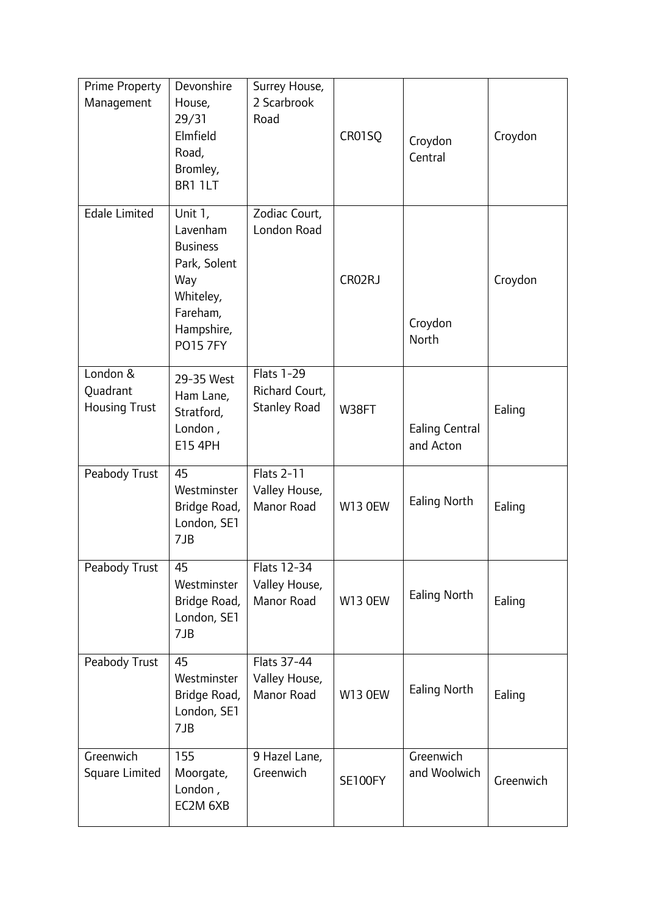| <b>Prime Property</b><br>Management          | Devonshire<br>House,<br>29/31<br>Elmfield<br>Road,<br>Bromley,<br>BR1 1LT                                               | Surrey House,<br>2 Scarbrook<br>Road                       | CR01SQ         | Croydon<br>Central                 | Croydon   |
|----------------------------------------------|-------------------------------------------------------------------------------------------------------------------------|------------------------------------------------------------|----------------|------------------------------------|-----------|
| <b>Edale Limited</b>                         | Unit 1,<br>Lavenham<br><b>Business</b><br>Park, Solent<br>Way<br>Whiteley,<br>Fareham,<br>Hampshire,<br><b>PO15 7FY</b> | Zodiac Court,<br>London Road                               | CR02RJ         | Croydon<br>North                   | Croydon   |
| London &<br>Quadrant<br><b>Housing Trust</b> | 29-35 West<br>Ham Lane,<br>Stratford,<br>London,<br>E15 4PH                                                             | <b>Flats 1-29</b><br>Richard Court,<br><b>Stanley Road</b> | W38FT          | <b>Ealing Central</b><br>and Acton | Ealing    |
| Peabody Trust                                | 45<br>Westminster<br>Bridge Road,<br>London, SE1<br>7JB                                                                 | <b>Flats 2-11</b><br>Valley House,<br>Manor Road           | <b>W13 OEW</b> | Ealing North                       | Ealing    |
| Peabody Trust                                | 45<br>Westminster<br>Bridge Road,<br>London, SE1<br>7JB                                                                 | Flats 12-34<br>Valley House,<br>Manor Road                 | <b>W13 OEW</b> | <b>Ealing North</b>                | Ealing    |
| Peabody Trust                                | 45<br>Westminster<br>Bridge Road,<br>London, SE1<br>7JB                                                                 | Flats 37-44<br>Valley House,<br>Manor Road                 | <b>W13 OEW</b> | <b>Ealing North</b>                | Ealing    |
| Greenwich<br>Square Limited                  | 155<br>Moorgate,<br>London,<br>EC2M 6XB                                                                                 | 9 Hazel Lane,<br>Greenwich                                 | SE100FY        | Greenwich<br>and Woolwich          | Greenwich |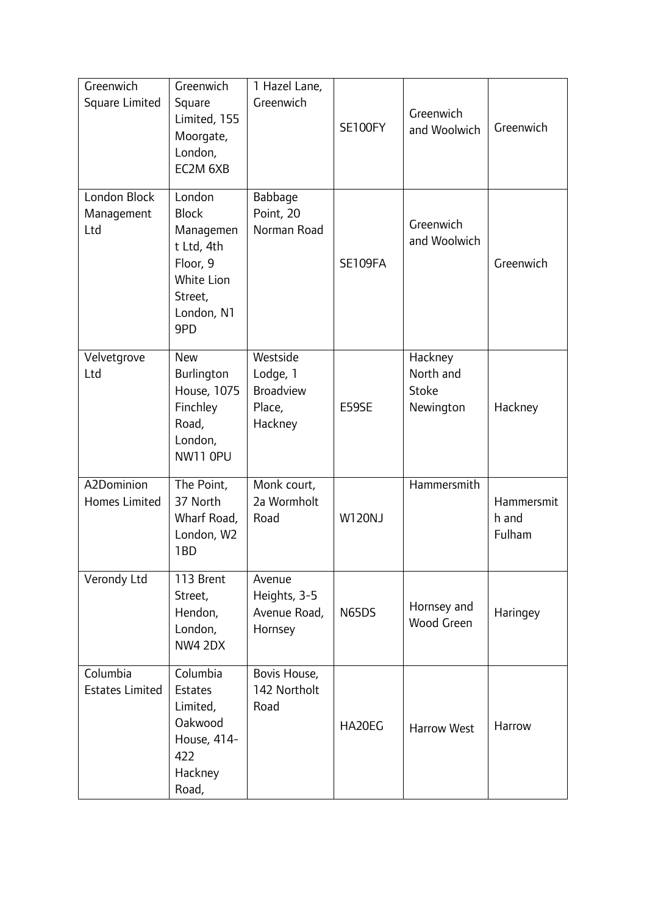| Greenwich<br>Square Limited        | Greenwich<br>Square<br>Limited, 155<br>Moorgate,<br>London,<br>EC2M 6XB                                     | 1 Hazel Lane,<br>Greenwich                                    | SE100FY       | Greenwich<br>and Woolwich                  | Greenwich                     |
|------------------------------------|-------------------------------------------------------------------------------------------------------------|---------------------------------------------------------------|---------------|--------------------------------------------|-------------------------------|
| London Block<br>Management<br>Ltd  | London<br><b>Block</b><br>Managemen<br>t Ltd, 4th<br>Floor, 9<br>White Lion<br>Street,<br>London, N1<br>9PD | Babbage<br>Point, 20<br>Norman Road                           | SE109FA       | Greenwich<br>and Woolwich                  | Greenwich                     |
| Velvetgrove<br>Ltd                 | <b>New</b><br>Burlington<br>House, 1075<br>Finchley<br>Road,<br>London,<br>NW11 OPU                         | Westside<br>Lodge, 1<br><b>Broadview</b><br>Place,<br>Hackney | E59SE         | Hackney<br>North and<br>Stoke<br>Newington | Hackney                       |
| A2Dominion<br><b>Homes Limited</b> | The Point,<br>37 North<br>Wharf Road,<br>London, W2<br>1BD                                                  | Monk court,<br>2a Wormholt<br>Road                            | <b>W120NJ</b> | Hammersmith                                | Hammersmit<br>h and<br>Fulham |
| Verondy Ltd                        | 113 Brent<br>Street,<br>Hendon,<br>London,<br><b>NW4 2DX</b>                                                | Avenue<br>Heights, 3-5<br>Avenue Road,<br>Hornsey             | N65DS         | Hornsey and<br>Wood Green                  | Haringey                      |
| Columbia<br><b>Estates Limited</b> | Columbia<br><b>Estates</b><br>Limited,<br>Oakwood<br>House, 414-<br>422<br>Hackney<br>Road,                 | Bovis House,<br>142 Northolt<br>Road                          | HA20EG        | <b>Harrow West</b>                         | Harrow                        |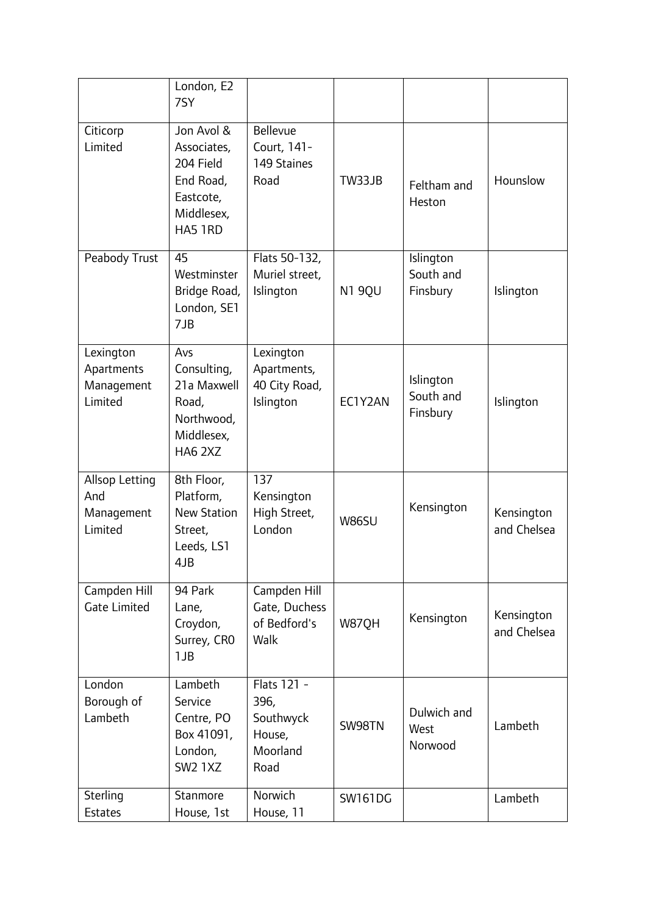|                                                  | London, E2<br>7SY                                                                         |                                                                |                |                                    |                           |
|--------------------------------------------------|-------------------------------------------------------------------------------------------|----------------------------------------------------------------|----------------|------------------------------------|---------------------------|
| Citicorp<br>Limited                              | Jon Avol &<br>Associates,<br>204 Field<br>End Road,<br>Eastcote,<br>Middlesex,<br>HA5 1RD | <b>Bellevue</b><br>Court, 141-<br>149 Staines<br>Road          | TW33JB         | Feltham and<br>Heston              | Hounslow                  |
| Peabody Trust                                    | 45<br>Westminster<br>Bridge Road,<br>London, SE1<br>7JB                                   | Flats 50-132,<br>Muriel street,<br>Islington                   | N1 9QU         | Islington<br>South and<br>Finsbury | Islington                 |
| Lexington<br>Apartments<br>Management<br>Limited | Avs<br>Consulting,<br>21a Maxwell<br>Road,<br>Northwood,<br>Middlesex,<br>HA6 2XZ         | Lexington<br>Apartments,<br>40 City Road,<br>Islington         | EC1Y2AN        | Islington<br>South and<br>Finsbury | Islington                 |
| Allsop Letting<br>And<br>Management<br>Limited   | 8th Floor,<br>Platform,<br><b>New Station</b><br>Street,<br>Leeds, LS1<br>4JB             | 137<br>Kensington<br>High Street,<br>London                    | <b>W86SU</b>   | Kensington                         | Kensington<br>and Chelsea |
| Campden Hill<br><b>Gate Limited</b>              | 94 Park<br>Lane,<br>Croydon,<br>Surrey, CRO<br>1JB                                        | Campden Hill<br>Gate, Duchess<br>of Bedford's<br>Walk          | W87QH          | Kensington                         | Kensington<br>and Chelsea |
| London<br>Borough of<br>Lambeth                  | Lambeth<br>Service<br>Centre, PO<br>Box 41091,<br>London,<br><b>SW2 1XZ</b>               | Flats 121 -<br>396,<br>Southwyck<br>House,<br>Moorland<br>Road | SW98TN         | Dulwich and<br>West<br>Norwood     | Lambeth                   |
| Sterling<br>Estates                              | Stanmore<br>House, 1st                                                                    | Norwich<br>House, 11                                           | <b>SW161DG</b> |                                    | Lambeth                   |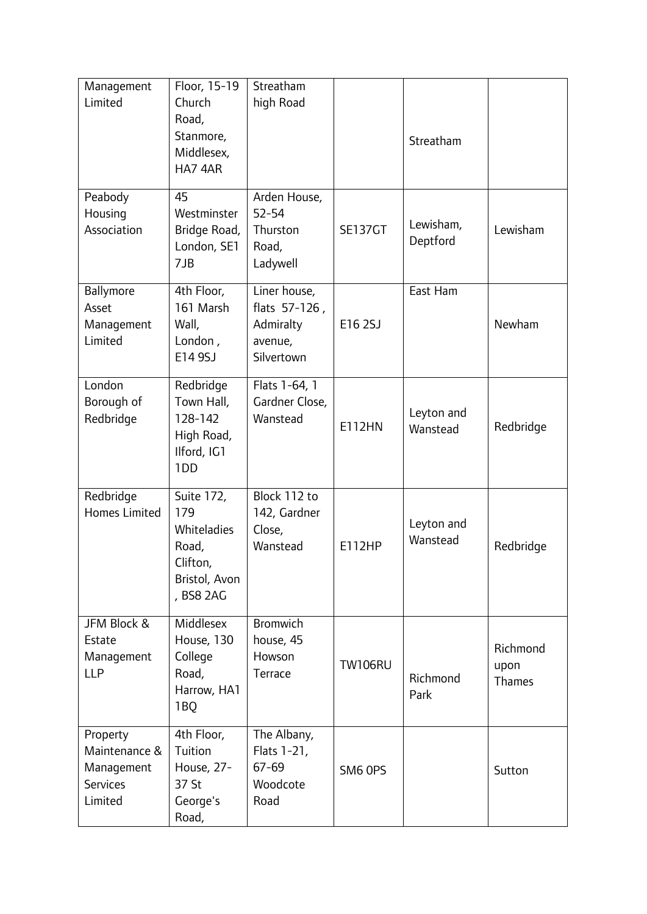| Management<br>Limited                                                 | Floor, 15-19<br>Church<br>Road,<br>Stanmore,<br>Middlesex,<br>HA7 4AR                      | Streatham<br>high Road                                              |                | Streatham              |                            |
|-----------------------------------------------------------------------|--------------------------------------------------------------------------------------------|---------------------------------------------------------------------|----------------|------------------------|----------------------------|
| Peabody<br>Housing<br>Association                                     | 45<br>Westminster<br>Bridge Road,<br>London, SE1<br>7JB                                    | Arden House,<br>$52 - 54$<br>Thurston<br>Road,<br>Ladywell          | <b>SE137GT</b> | Lewisham,<br>Deptford  | Lewisham                   |
| Ballymore<br>Asset<br>Management<br>Limited                           | 4th Floor,<br>161 Marsh<br>Wall,<br>London,<br>E14 9SJ                                     | Liner house,<br>flats 57-126,<br>Admiralty<br>avenue,<br>Silvertown | E16 2SJ        | East Ham               | Newham                     |
| London<br>Borough of<br>Redbridge                                     | Redbridge<br>Town Hall,<br>128-142<br>High Road,<br>Ilford, IG1<br>1 <sub>DD</sub>         | Flats 1-64, 1<br>Gardner Close,<br>Wanstead                         | <b>E112HN</b>  | Leyton and<br>Wanstead | Redbridge                  |
| Redbridge<br>Homes Limited                                            | <b>Suite 172,</b><br>179<br>Whiteladies<br>Road,<br>Clifton,<br>Bristol, Avon<br>, BS8 2AG | Block 112 to<br>142, Gardner<br>Close,<br>Wanstead                  | <b>E112HP</b>  | Leyton and<br>Wanstead | Redbridge                  |
| JFM Block &<br>Estate<br>Management<br><b>LLP</b>                     | Middlesex<br>House, 130<br>College<br>Road,<br>Harrow, HA1<br>1BQ                          | <b>Bromwich</b><br>house, 45<br>Howson<br>Terrace                   | <b>TW106RU</b> | Richmond<br>Park       | Richmond<br>upon<br>Thames |
| Property<br>Maintenance &<br>Management<br><b>Services</b><br>Limited | 4th Floor,<br>Tuition<br>House, 27-<br>37 St<br>George's<br>Road,                          | The Albany,<br>Flats 1-21,<br>$67 - 69$<br>Woodcote<br>Road         | SM6 OPS        |                        | Sutton                     |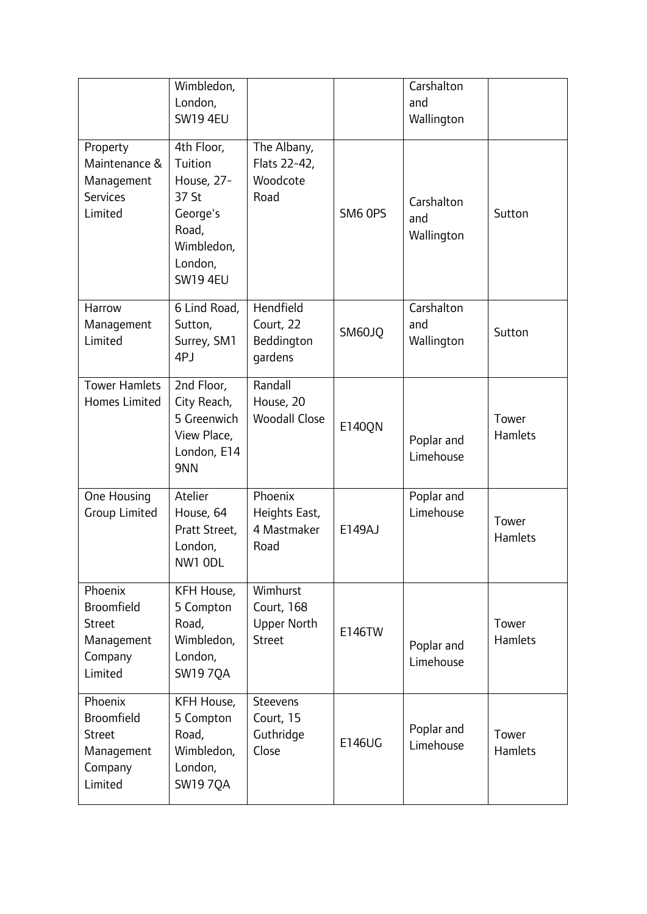|                                              | Wimbledon,                |                      |         | Carshalton |                |
|----------------------------------------------|---------------------------|----------------------|---------|------------|----------------|
|                                              | London,                   |                      |         | and        |                |
|                                              | <b>SW19 4EU</b>           |                      |         | Wallington |                |
|                                              |                           |                      |         |            |                |
| Property                                     | 4th Floor,                | The Albany,          |         |            |                |
| Maintenance &                                | Tuition                   | Flats 22-42,         |         |            |                |
| Management                                   | House, 27-                | Woodcote             |         |            |                |
| <b>Services</b>                              | 37 St                     | Road                 |         | Carshalton |                |
| Limited                                      | George's                  |                      | SM6 OPS | and        | Sutton         |
|                                              | Road,                     |                      |         | Wallington |                |
|                                              | Wimbledon,                |                      |         |            |                |
|                                              | London,                   |                      |         |            |                |
|                                              | <b>SW19 4EU</b>           |                      |         |            |                |
| Harrow                                       | 6 Lind Road,              | Hendfield            |         | Carshalton |                |
| Management                                   | Sutton,                   | Court, 22            |         | and        |                |
| Limited                                      | Surrey, SM1               | Beddington           | SM60JQ  | Wallington | Sutton         |
|                                              | 4PJ                       | gardens              |         |            |                |
|                                              |                           |                      |         |            |                |
| <b>Tower Hamlets</b><br><b>Homes Limited</b> | 2nd Floor,<br>City Reach, | Randall<br>House, 20 |         |            |                |
|                                              | 5 Greenwich               | <b>Woodall Close</b> |         |            | Tower          |
|                                              | View Place,               |                      | E140QN  |            | <b>Hamlets</b> |
|                                              | London, E14               |                      |         | Poplar and |                |
|                                              | 9NN                       |                      |         | Limehouse  |                |
|                                              |                           |                      |         |            |                |
| One Housing                                  | Atelier                   | Phoenix              |         | Poplar and |                |
| <b>Group Limited</b>                         | House, 64                 | Heights East,        |         | Limehouse  | Tower          |
|                                              | Pratt Street,             | 4 Mastmaker          | E149AJ  |            | <b>Hamlets</b> |
|                                              | London,                   | Road                 |         |            |                |
|                                              | NW1 ODL                   |                      |         |            |                |
| Phoenix                                      | KFH House,                | Wimhurst             |         |            |                |
| <b>Broomfield</b>                            | 5 Compton                 | <b>Court, 168</b>    |         |            |                |
| <b>Street</b>                                | Road,                     | Upper North          | E146TW  |            | Tower          |
| Management                                   | Wimbledon,                | <b>Street</b>        |         | Poplar and | Hamlets        |
| Company                                      | London,                   |                      |         | Limehouse  |                |
| Limited                                      | <b>SW19 7QA</b>           |                      |         |            |                |
| Phoenix                                      | KFH House,                | Steevens             |         |            |                |
| <b>Broomfield</b>                            | 5 Compton                 | Court, 15            |         |            |                |
| <b>Street</b>                                | Road,                     | Guthridge            |         | Poplar and | Tower          |
| Management                                   | Wimbledon,                | Close                | E146UG  | Limehouse  | <b>Hamlets</b> |
| Company                                      | London,                   |                      |         |            |                |
| Limited                                      | <b>SW19 7QA</b>           |                      |         |            |                |
|                                              |                           |                      |         |            |                |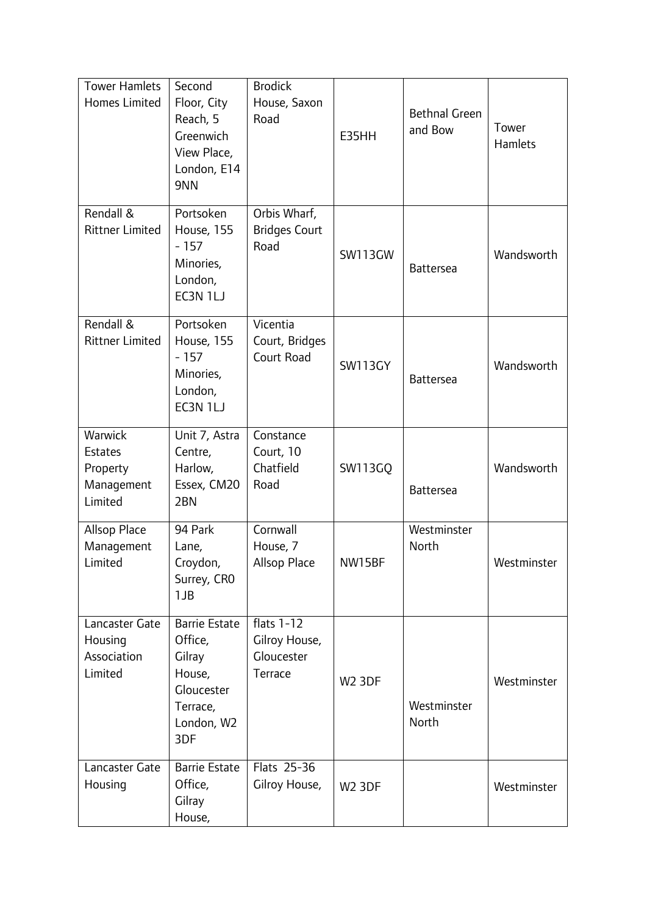| <b>Tower Hamlets</b><br><b>Homes Limited</b>                   | Second<br>Floor, City<br>Reach, 5<br>Greenwich<br>View Place,<br>London, E14<br>9NN                | <b>Brodick</b><br>House, Saxon<br>Road                 | E35HH          | <b>Bethnal Green</b><br>and Bow | Tower<br><b>Hamlets</b> |
|----------------------------------------------------------------|----------------------------------------------------------------------------------------------------|--------------------------------------------------------|----------------|---------------------------------|-------------------------|
| Rendall &<br><b>Rittner Limited</b>                            | Portsoken<br><b>House, 155</b><br>$-157$<br>Minories,<br>London,<br>EC3N 1LJ                       | Orbis Wharf,<br><b>Bridges Court</b><br>Road           | <b>SW113GW</b> | <b>Battersea</b>                | Wandsworth              |
| Rendall &<br><b>Rittner Limited</b>                            | Portsoken<br><b>House, 155</b><br>$-157$<br>Minories,<br>London,<br>EC3N 1LJ                       | Vicentia<br>Court, Bridges<br>Court Road               | <b>SW113GY</b> | <b>Battersea</b>                | Wandsworth              |
| Warwick<br><b>Estates</b><br>Property<br>Management<br>Limited | Unit 7, Astra<br>Centre,<br>Harlow,<br>Essex, CM20<br>2BN                                          | Constance<br>Court, 10<br>Chatfield<br>Road            | <b>SW113GQ</b> | <b>Battersea</b>                | Wandsworth              |
| Allsop Place<br>Management<br>Limited                          | 94 Park<br>Lane,<br>Croydon,<br>Surrey, CRO<br>1JB                                                 | Cornwall<br>House, 7<br>Allsop Place                   | NW15BF         | Westminster<br>North            | Westminster             |
| Lancaster Gate<br>Housing<br>Association<br>Limited            | <b>Barrie Estate</b><br>Office,<br>Gilray<br>House,<br>Gloucester<br>Terrace,<br>London, W2<br>3DF | flats $1-12$<br>Gilroy House,<br>Gloucester<br>Terrace | <b>W2 3DF</b>  | Westminster<br>North            | Westminster             |
| Lancaster Gate<br>Housing                                      | <b>Barrie Estate</b><br>Office,<br>Gilray<br>House,                                                | Flats 25-36<br>Gilroy House,                           | <b>W2 3DF</b>  |                                 | Westminster             |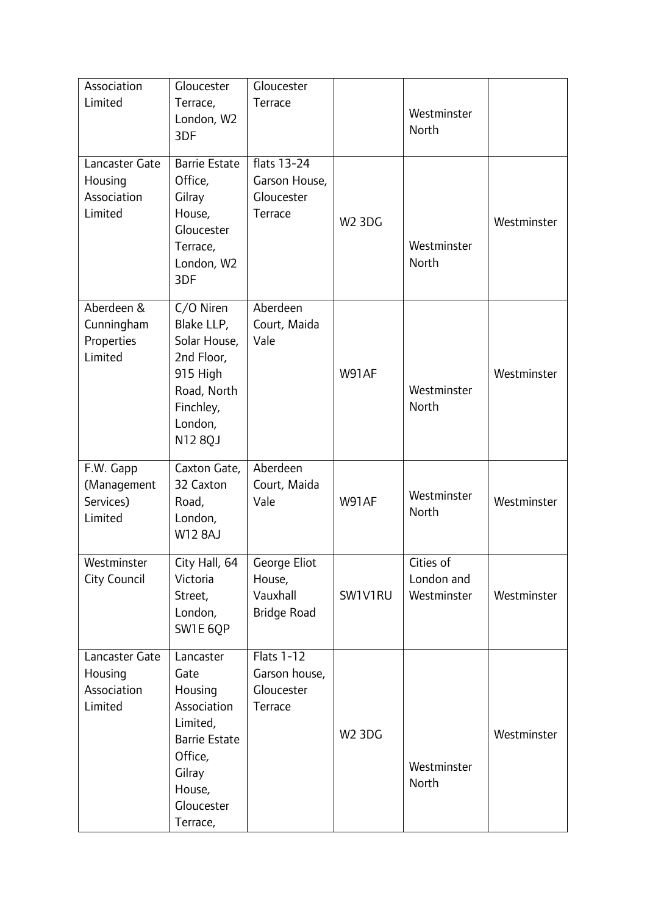| Association<br>Limited                              | Gloucester<br>Terrace,<br>London, W2<br>3DF                                                                                              | Gloucester<br>Terrace                                       |               | Westminster<br>North                   |             |
|-----------------------------------------------------|------------------------------------------------------------------------------------------------------------------------------------------|-------------------------------------------------------------|---------------|----------------------------------------|-------------|
| Lancaster Gate<br>Housing<br>Association<br>Limited | <b>Barrie Estate</b><br>Office,<br>Gilray<br>House,<br>Gloucester<br>Terrace,<br>London, W2<br>3DF                                       | flats 13-24<br>Garson House,<br>Gloucester<br>Terrace       | <b>W2 3DG</b> | Westminster<br>North                   | Westminster |
| Aberdeen &<br>Cunningham<br>Properties<br>Limited   | C/O Niren<br>Blake LLP,<br>Solar House,<br>2nd Floor,<br>915 High<br>Road, North<br>Finchley,<br>London,<br>N12 8QJ                      | Aberdeen<br>Court, Maida<br>Vale                            | W91AF         | Westminster<br>North                   | Westminster |
| F.W. Gapp<br>(Management<br>Services)<br>Limited    | Caxton Gate,<br>32 Caxton<br>Road,<br>London,<br><b>W12 8AJ</b>                                                                          | Aberdeen<br>Court, Maida<br>Vale                            | W91AF         | Westminster<br>North                   | Westminster |
| Westminster<br><b>City Council</b>                  | City Hall, 64<br>Victoria<br>Street,<br>London,<br>SW1E 6QP                                                                              | George Eliot<br>House,<br>Vauxhall<br><b>Bridge Road</b>    | SW1V1RU       | Cities of<br>London and<br>Westminster | Westminster |
| Lancaster Gate<br>Housing<br>Association<br>Limited | Lancaster<br>Gate<br>Housing<br>Association<br>Limited,<br><b>Barrie Estate</b><br>Office,<br>Gilray<br>House,<br>Gloucester<br>Terrace, | <b>Flats 1-12</b><br>Garson house,<br>Gloucester<br>Terrace | <b>W2 3DG</b> | Westminster<br>North                   | Westminster |